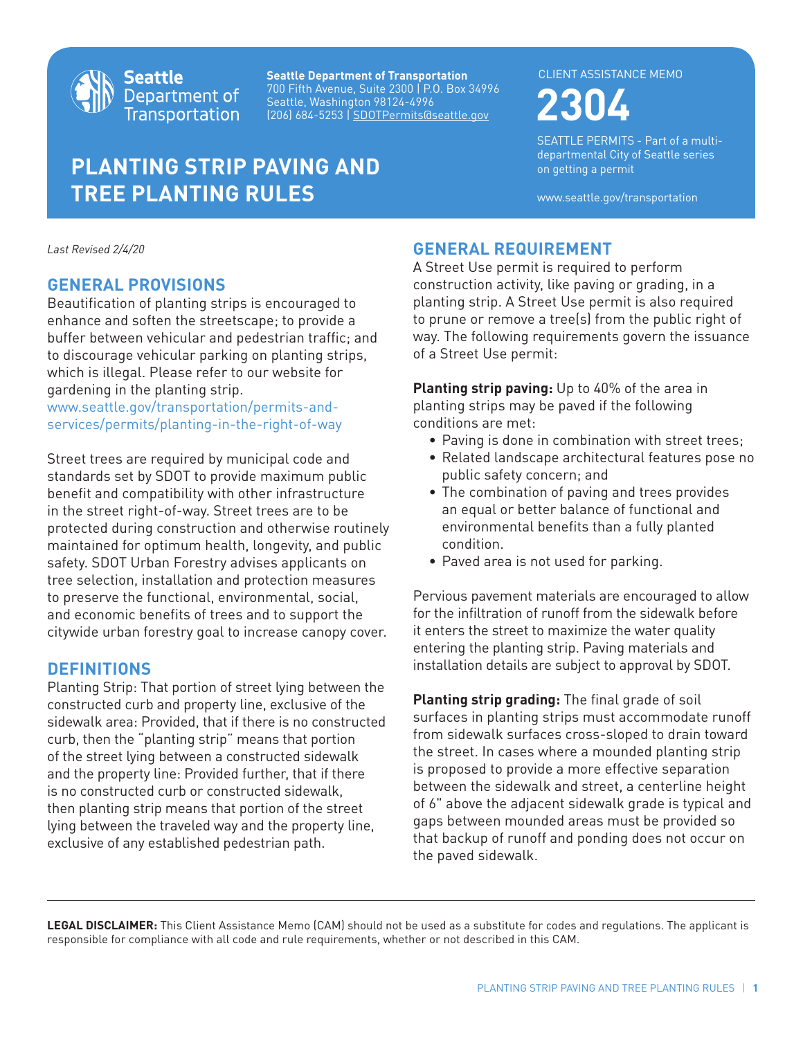

**Seattle Department of Transportation** 700 Fifth Avenue, Suite 2300 | P.O. Box 34996 Seattle, Washington 98124-4996 **Experimentally, Banc 2004 11:00 Box 04:72<br>Seattle, Washington 98124-4996**<br>(206) 684-5253 | SDOTPermits@seattle.gov

# **PLANTING STRIP PAVING AND TREE PLANTING RULES**

CLIENT ASSISTANCE MEMO

SEATTLE PERMITS - Part of a multidepartmental City of Seattle series on getting a permit

www.seattle.gov/transportation

*Last Revised 2/4/20*

## **GENERAL PROVISIONS**

Beautification of planting strips is encouraged to enhance and soften the streetscape; to provide a buffer between vehicular and pedestrian traffic; and to discourage vehicular parking on planting strips, which is illegal. Please refer to our website for gardening in the planting strip.

www.seattle.gov/transportation/permits-andservices/permits/planting-in-the-right-of-way

Street trees are required by municipal code and standards set by SDOT to provide maximum public benefit and compatibility with other infrastructure in the street right-of-way. Street trees are to be protected during construction and otherwise routinely maintained for optimum health, longevity, and public safety. SDOT Urban Forestry advises applicants on tree selection, installation and protection measures to preserve the functional, environmental, social, and economic benefits of trees and to support the citywide urban forestry goal to increase canopy cover.

## **DEFINITIONS**

Planting Strip: That portion of street lying between the constructed curb and property line, exclusive of the sidewalk area: Provided, that if there is no constructed curb, then the "planting strip" means that portion of the street lying between a constructed sidewalk and the property line: Provided further, that if there is no constructed curb or constructed sidewalk, then planting strip means that portion of the street lying between the traveled way and the property line, exclusive of any established pedestrian path.

## **GENERAL REQUIREMENT**

A Street Use permit is required to perform construction activity, like paving or grading, in a planting strip. A Street Use permit is also required to prune or remove a tree(s) from the public right of way. The following requirements govern the issuance of a Street Use permit:

**Planting strip paving:** Up to 40% of the area in planting strips may be paved if the following conditions are met:

- Paving is done in combination with street trees;
- Related landscape architectural features pose no public safety concern; and
- The combination of paving and trees provides an equal or better balance of functional and environmental benefits than a fully planted condition.
- Paved area is not used for parking.

Pervious pavement materials are encouraged to allow for the infiltration of runoff from the sidewalk before it enters the street to maximize the water quality entering the planting strip. Paving materials and installation details are subject to approval by SDOT.

**Planting strip grading:** The final grade of soil surfaces in planting strips must accommodate runoff from sidewalk surfaces cross-sloped to drain toward the street. In cases where a mounded planting strip is proposed to provide a more effective separation between the sidewalk and street, a centerline height of 6" above the adjacent sidewalk grade is typical and gaps between mounded areas must be provided so that backup of runoff and ponding does not occur on the paved sidewalk.

**LEGAL DISCLAIMER:** This Client Assistance Memo (CAM) should not be used as a substitute for codes and regulations. The applicant is responsible for compliance with all code and rule requirements, whether or not described in this CAM.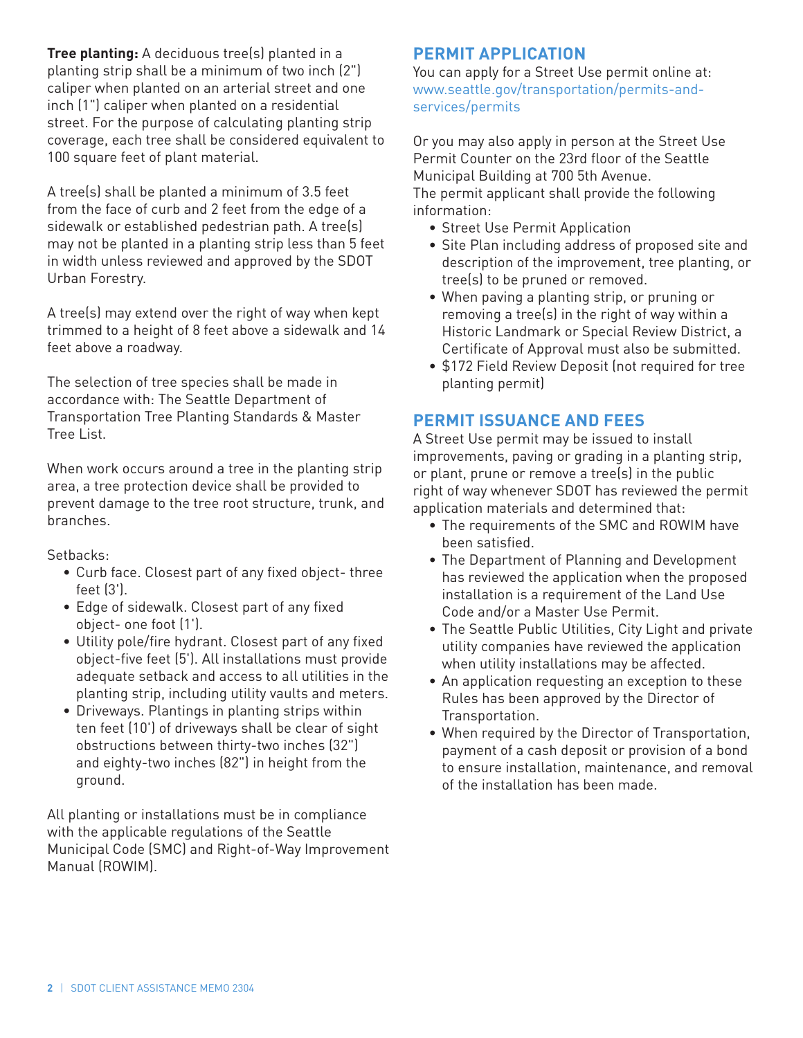**Tree planting:** A deciduous tree(s) planted in a planting strip shall be a minimum of two inch (2") caliper when planted on an arterial street and one inch (1") caliper when planted on a residential street. For the purpose of calculating planting strip coverage, each tree shall be considered equivalent to 100 square feet of plant material.

A tree(s) shall be planted a minimum of 3.5 feet from the face of curb and 2 feet from the edge of a sidewalk or established pedestrian path. A tree(s) may not be planted in a planting strip less than 5 feet in width unless reviewed and approved by the SDOT Urban Forestry.

A tree(s) may extend over the right of way when kept trimmed to a height of 8 feet above a sidewalk and 14 feet above a roadway.

The selection of tree species shall be made in accordance with: The Seattle Department of Transportation Tree Planting Standards & Master Tree List.

When work occurs around a tree in the planting strip area, a tree protection device shall be provided to prevent damage to the tree root structure, trunk, and branches.

Setbacks:

- Curb face. Closest part of any fixed object- three feet (3').
- Edge of sidewalk. Closest part of any fixed object- one foot (1').
- Utility pole/fire hydrant. Closest part of any fixed object-five feet (5'). All installations must provide adequate setback and access to all utilities in the planting strip, including utility vaults and meters.
- Driveways. Plantings in planting strips within ten feet (10') of driveways shall be clear of sight obstructions between thirty-two inches (32") and eighty-two inches (82") in height from the ground.

All planting or installations must be in compliance with the applicable regulations of the Seattle Municipal Code (SMC) and Right-of-Way Improvement Manual (ROWIM).

## **PERMIT APPLICATION**

You can apply for a Street Use permit online at: www.seattle.gov/transportation/permits-andservices/permits

Or you may also apply in person at the Street Use Permit Counter on the 23rd floor of the Seattle Municipal Building at 700 5th Avenue. The permit applicant shall provide the following information:

- Street Use Permit Application
- Site Plan including address of proposed site and description of the improvement, tree planting, or tree(s) to be pruned or removed.
- When paving a planting strip, or pruning or removing a tree(s) in the right of way within a Historic Landmark or Special Review District, a Certificate of Approval must also be submitted.
- \$172 Field Review Deposit (not required for tree planting permit)

## **PERMIT ISSUANCE AND FEES**

A Street Use permit may be issued to install improvements, paving or grading in a planting strip, or plant, prune or remove a tree(s) in the public right of way whenever SDOT has reviewed the permit application materials and determined that:

- The requirements of the SMC and ROWIM have been satisfied.
- The Department of Planning and Development has reviewed the application when the proposed installation is a requirement of the Land Use Code and/or a Master Use Permit.
- The Seattle Public Utilities, City Light and private utility companies have reviewed the application when utility installations may be affected.
- An application requesting an exception to these Rules has been approved by the Director of Transportation.
- When required by the Director of Transportation, payment of a cash deposit or provision of a bond to ensure installation, maintenance, and removal of the installation has been made.